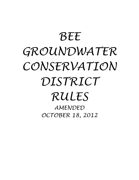# *BEE GROUNDWATER CONSERVATION DISTRICT RULES*

*AMENDED OCTOBER 18, 2012*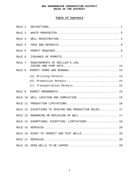# **Table of Contents**

| RULE <sub>1</sub>           |                                               |
|-----------------------------|-----------------------------------------------|
| RULE <sub>2</sub>           |                                               |
| RULE <sub>3</sub>           |                                               |
| RULE <sub>4</sub>           |                                               |
| RULE <sub>5</sub>           |                                               |
| RULE <sub>6</sub>           |                                               |
| RULE 7                      | REQUIREMENTS OF DRILLER'S LOG,                |
| RULE <sub>8</sub>           | PERMIT TERMS AND RENEWAL  14                  |
|                             | Drilling Permits 14<br>(a)                    |
|                             | Production Permits  14<br>(b)                 |
|                             | Transportation Permits  15<br>(c)             |
| RULE <sub>9</sub>           |                                               |
| $R$ ULF <sub>1</sub> $R$ 10 | WELL LOCATION AND COMPLETION 15               |
| RULE 11                     |                                               |
| RULE 12                     | EXCEPTIONS TO SPACING AND PRODUCTION RULES 17 |
| RULE 13                     | REWORKING OR REPLACING OF WELL  17            |
| RULE 14                     | EXEMPTIONS; EXCEPTION; LIMITATIONS 18         |
|                             | RULE 15 REPEALED<br>$\ldots$ 20               |
|                             | RULE 16 RIGHT TO INSPECT AND TEST WELLS 20    |
|                             | 20                                            |
|                             | RULE 18 OPEN WELLS TO BE CAPPED<br>20         |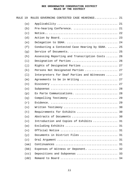| RULE 19 |      | RULES GOVERNING CONTESTED CASE HEARINGS 21       |  |
|---------|------|--------------------------------------------------|--|
|         | (a)  |                                                  |  |
|         | (b)  | Pre-hearing Conference.  21                      |  |
|         | (c)  |                                                  |  |
|         | (d)  |                                                  |  |
|         | (e)  | Delegation to SOAH.  24                          |  |
|         | (f)  | Conducting a Contested Case Hearing by SOAH.  25 |  |
|         | (g)  | Service of Documents.  25                        |  |
|         | (h)  | Assessing Reporting and Transcription Costs  26  |  |
|         | (i)  | Designation of Parties  26                       |  |
|         | (j)  | Rights of Designated Parties  27                 |  |
|         | (k)  | Persons Not Designated Parties  27               |  |
|         | (1)  | Interpreters for Deaf Parties and Witnesses  27  |  |
|         | (m)  | Agreements to be in Writing  27                  |  |
|         | (n)  |                                                  |  |
|         | (0)  |                                                  |  |
|         | (p)  | Ex Parte Communications.  28                     |  |
|         | (q)  | Compelling Testimony  29                         |  |
|         | (r)  |                                                  |  |
|         | (s)  |                                                  |  |
|         | (t)  | Requirements for Exhibits  30                    |  |
|         | (u)  | Abstracts of Documents  30                       |  |
|         | (v)  | Introduction and Copies of Exhibits  31          |  |
|         | (w)  | Excluding Exhibits  31                           |  |
|         | (x)  |                                                  |  |
|         | (y)  | Documents in District Files  31                  |  |
|         | (z)  |                                                  |  |
|         | (aa) |                                                  |  |
|         | (bb) | Expenses of Witness or Deponent.  32             |  |
|         | (cc) | Depositions and Subpoenas  33                    |  |
|         | (dd) |                                                  |  |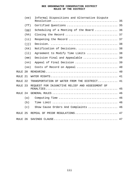|         | (ee)              | Informal Dispositions and Alternative Dispute   |
|---------|-------------------|-------------------------------------------------|
|         | (f f)             | Certified Questions  35                         |
|         | (gg)              | Scheduling of a Meeting of the Board  36        |
|         | (hh)              |                                                 |
|         | (iii)             |                                                 |
|         | (i <sub>j</sub> ) |                                                 |
|         | (kk)              | Notification of Decisions.  38                  |
|         | (11)              | Agreement to Modify Time Limits  38             |
|         | (mm)              | Decision Final and Appealable  39               |
|         | (nn)              | Appeal of Final Decision  39                    |
|         | (00)              | Costs of Record on Appeal  40                   |
| RULE 20 |                   |                                                 |
| RULE 21 |                   |                                                 |
| RULE 22 |                   | TRANSPORTATION OF WATER FROM THE DISTRICT 41    |
| RULE 23 |                   | REQUEST FOR INJUNCTIVE RELIEF AND ASSESSMENT OF |
|         |                   |                                                 |
| RULE 24 |                   |                                                 |
|         | (a)               |                                                 |
|         | (b)               |                                                 |
|         | (c)               | Show Cause Orders And Complaints  46            |
| RULE 25 |                   | REPEAL OF PRIOR REGULATIONS 47                  |
| RULE 26 |                   |                                                 |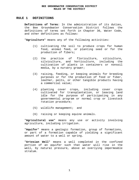# **RULE 1 DEFINITIONS**

**Definitions of Terms**: In the administration of its duties, the Bee Groundwater Conservation District follows the definitions of terms set forth in Chapter 36, Water Code, and other definitions as follows:

"**Agriculture**" means any of the following activities:

- (1) cultivating the soil to produce crops for human food, animal feed, or planting seed or for the production of fibers;
- (2) the practice of floriculture, viticulture, silviculture, and horticulture, including the cultivation of plants in containers or nonsoil media, by a nursery grower;
- (3) raising, feeding, or keeping animals for breeding purposes or for the production of food or fiber, leather, pelts, or other tangible products having a commercial value;
- (4) planting cover crops, including cover crops cultivated for transplantation, or leaving land idle for the purpose of participating in any governmental program or normal crop or livestock rotation procedure;
- (5) wildlife management; and
- (6) raising or keeping equine animals.

"**Agricultural use**" means any use or activity involving agriculture, including irrigation.

"**Aquifer**" means a geologic formation, group of formations, or part of a formation capable of yielding a significant amount of water to a well or spring.

"**Artesian Well**" means a well completed in the confined portion of an aquifer such that water will rise in the well, by natural pressure, above an overlying impermeable stratum.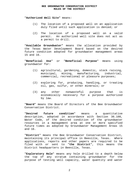"**Authorized Well Site**" means:

- (1) The location of a proposed well on an application duly filed until such application is denied; or
- (2) The location of a proposed well on a valid permit. An authorized well site does not act as a permit to drill.

"**Available Groundwater**" means the allocation provided by the Texas Water Development Board based on the desired future condition adopted for groundwater management areas 15 and 16.

"**Beneficial Use**" or "**Beneficial Purpose**" means using groundwater for:

- (1) agricultural, gardening, domestic, stock raising, municipal, mining, manufacturing, industrial, commercial, recreational or pleasure purposes;
- (2) exploring for, producing, handling, or treating oil, gas, sulfur, or other minerals; or
- (3) any other nonwasteful purpose that is economically necessary for a purpose authorized by law.

"**Board**" means the Board of Directors of the Bee Groundwater Conservation District.

"**Desired future condition**" means a quantitative description, adopted in accordance with Section 36.108, Water Code, of the desired condition of the groundwater resources in a management area at one or more specified future times as adopted by Groundwater Management Areas 15 and 16.

"**District**" means the Bee Groundwater Conservation District, maintaining its principal office in Beeville, Texas. Where applications, reports and other papers are required to be filed with or sent to "**the District**", this means the District headquarters in Beeville, Texas.

"**Exploratory Hole**" means any hole drilled to a depth below the top of any stratum containing groundwater for the purpose of testing well capacity, water quantity and water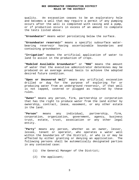quality. An excavation ceases to be an exploratory hole and becomes a well that may require a permit if any pumping occurs after the well is completed with casing and a pump, or if production occurs in excess of an amount to complete the tests listed above.

"**Groundwater**" means water percolating below the surface.

"**Groundwater reservoir**" means a specific subsurface waterbearing reservoir having ascertainable boundaries and containing groundwater.

"**Irrigation**" means the artificial application of water to land to assist in the production of crops.

"**Modeled Available Groundwater**" or "**MAG**" means the amount of water that the executive administrator determines may be produced on an average annual basis to achieve the adopted desired future condition.

"**Open or Uncovered Well**" means any artificial excavation drilled or dug for the purpose of exploring for or producing water from an underground reservoir, if that well is not capped, covered or plugged as required by these rules.

"**Owner**" means any person, firm, partnership or corporation that has the right to produce water from the land either by ownership, contract, lease, easement, or any other estate in the land.

"**Person**" means any individual, partnership, firm, corporation, organization, government, agency, business trust, estate, trust, association or any other legal entity.

"**Party**" means any person, whether as an owner, lessor, lessee, tenant or operator, who operates a water well within the boundaries of the District, or who is or may be affected by either granting or denying an application. The following persons shall be automatically designated parties in any contested case:

- (1) the General Manager of the District;
- (2) the applicant;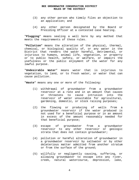- (3) any other person who timely files an objection to an application; and
- (4) any other person designated by the Board or Presiding Officer at a contested case hearing.

"**Plugging**" means sealing a well bore by any method that meets the requirements of these rules.

"**Pollution**" means the alteration of the physical, thermal, chemical, or biological quality of, or any water in the District that renders the water harmful, detrimental, or injurious to humans, animal life, vegetation, or property or to public health, safety, or welfare, or impairs the usefulness or the public enjoyment of the water for any lawful purpose.

"**Undesirable Water**" means water that is injurious to vegetation, to land, or to fresh water, or water that can cause pollution.

"**Waste**" means any one or more of the following:

- (1) withdrawal of groundwater from a groundwater reservoir at a rate and in an amount that causes or threatens to cause intrusion into the reservoir of water unsuitable for agricultural, gardening, domestic, or stock raising purposes;
- (2) the flowing or producing of wells from a groundwater reservoir if the water produced is not used for a beneficial purpose or in an amount in excess of the amount reasonably needed for that beneficial purpose;
- (3) escape of groundwater from a groundwater reservoir to any other reservoir or geologic strata that does not contain groundwater;
- (4) pollution or harmful alteration of groundwater in a groundwater reservoir by saltwater or by other deleterious matter admitted from another stratum or from the surface of the ground;
- (5) willfully or negligently causing, suffering, or allowing groundwater to escape into any river, creek, natural watercourse, depression, lake,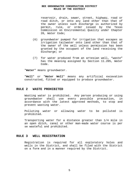reservoir, drain, sewer, street, highway, road or road ditch, or onto any land other than that of the owner unless such discharge is authorized by permit, rule, or order issued by the Texas Commission on Environmental Quality under Chapter 26, Water Code;

- (6) groundwater pumped for irrigation that escapes as irrigation tailwater onto land other than that of the owner of the well unless permission has been granted by the occupant of the land receiving the discharge; or
- (7) for water produced from an artesian well, "waste" has the meaning assigned by Section 11.205, Water Code.

"**Water**" means groundwater.

"**Well**" or "**Water Well**" means any artificial excavation constructed, fitted or equipped to produce groundwater.

#### **RULE 2 WASTE PROHIBITED**

Wasting water is prohibited. Any person producing or using groundwater shall use every possible precaution, in accordance with the latest approved methods, to stop and prevent wasting water.

Polluting water or allowing water to be polluted is prohibited.

Transporting water for a distance greater than 1/4 mile in an open ditch, canal or other man-made water course is per se wasteful and prohibited.

#### **RULE 3 WELL REGISTRATION**

Registration is required for all exploratory holes and wells in the District, and shall be filed with the District on a form and in a manner required by the District.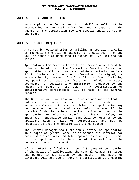#### **RULE 4 FEES AND DEPOSITS**

Each application for a permit to drill a well must be accompanied by an application fee and a deposit. The amount of the application fee and deposit shall be set by the Board.

# **RULE 5 PERMIT REQUIRED**

A permit is required prior to drilling or operating a well, or increasing the size or capacity of a well such that the well is capable of producing in excess of 27.78 gallons per minute.

Applications for permits to drill or operate a well must be filed at the office of the District in Beeville, Texas. An application shall be considered administratively complete if it includes all required information; is signed; is accompanied by payment of all applicable fees, including any penalties or past due fees; and includes any maps, documents, or supplementary information requested by the Rules, the Board or the staff. A determination of administrative completeness will be made by the General Manager.

The District will not take action on an application that is not administratively complete or has not proceeded in a manner consistent with District Rules. An application may be rejected as not administratively complete if the District finds that substantive information required by the application or District staff is missing, false, or incorrect. Incomplete applications will be returned to the applicant with a list of deficiencies and may be reconsidered once the deficiencies are corrected.

The General Manager shall publish a Notice of Application in a paper of general circulation within the District for each administratively complete application stating the name of the applicant, the location of the well and the requested production amount.

If no protest is filed within ten (10) days of publication of the notice of application, the General Manager may issue the permit without action by the Board. The board of directors will approve or deny the application at a meeting

6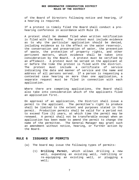of the Board of Directors following notice and hearing, if a hearing is required.

If a protest is timely filed the Board shall conduct a prehearing conference in accordance with Rule 19.

A protest shall be deemed filed when written notification is filed with the Board. The protest must include evidence as to why the particular application should be denied, including evidence as to the effect on the water reservoir, the conservation and preservation of water, the prevention of waste, the protection of property rights, and other pertinent matters, which evidence shall be taken into consideration by the Board. A protest must be verified by an affidavit. A protest must be served on the applicant at or before the time the protest is filed with the district. The protest must include a certificate of service indicating the date and manner of service and the name and address of all persons served. If a person is requesting a contested case hearing on more than one application, a separate request must be filed in connection with each application.

Where there are competing applications, the Board shall also take into consideration which of the applicants filed an application first.

On approval of an application, the District shall issue a permit to the applicant. The permittee's right to produce shall be limited to the extent and purposes stated in the permit. Production permits shall be valid for a period not to exceed five (5) years, at which time the permit may be renewed. A permit shall not be transferable except when an application has been made to amend the permit to change the name of the permittee. The General Manager may grant such an amendment without notice, hearing, or further action by the Board.

#### **RULE 6 ISSUANCE OF PERMITS**

- (a) The board may issue the following types of permits:
	- (1) **Drilling Permit**, which allows drilling a new well, expanding an existing well, redrilling or re-equipping an existing well, or plugging a well;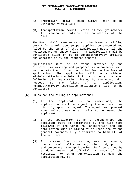- (2) **Production Permit**, which allows water to be withdrawn from a well;
- (3) **Transportation Permit**, which allows groundwater to transported outside the boundaries of the District.

 The Board shall issue or cause to be issued a drilling permit for a well upon proper application executed and filed by the owner if that application meets all the requirements of these rules. An application shall be considered filed if it is administratively complete and accompanied by the required deposit.

 Applications must be on forms provided by the District, in writing and prepared in accordance with and contain the information called for on the form of application. The application will be considered administratively complete if it is properly completed following all instructions issued by the Board with respect to the filing of an application. Administratively incomplete applications will not be considered.

- (b) Rules for the filing of applications:
	- (1) If the applicant is an individual, the application shall be signed by the applicant or his duly appointed agent. The agent must present Power of Attorney as authority to represent the applicant.
	- (2) If the application is by a partnership, the applicant must be designated by the firm name followed by the words "a Partnership" and the application must be signed by at least one of the general partners duly authorized to bind all of the partners.
	- (3) In the case of a corporation, government agency, county, municipality or any other body politic and corporate, the application shall be signed by a duly authorized official. A copy of the resolution or other authorization to make the application may be.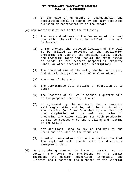- (4) In the case of an estate or guardianship, the application shall be signed by the duly appointed guardian or representative of the estate.
- (c) Applications must set forth the following:
	- (1) the name and address of the fee owner of the land upon which the well is to be drilled or the well is located;
	- (2) a map showing the proposed location of the well to be drilled as provided in the application including the County, the section, block, survey and township; labor and league; and exact number of yards to the nearest nonparallel property lines; or other adequate legal description;
	- (3) the proposed use of the well, whether municipal, industrial, irrigation, agricultural or other;
	- (4) the size of the pump;
	- (5) the approximate date drilling or operation is to begin;
	- (6) the location of all wells within a quarter mile on the proposed location, if any;
	- (7) an agreement by the applicant that a complete well registration and log will be furnished to the District (on forms furnished by the District) upon completion of this well and prior to producing any water (except for such production as may be necessary to the drilling and testing of the well);
	- (8) any additional data as may be required by the Board and included on the form; and
	- (9) a water conservation plan and a declaration that the applicant will comply with the district's management plan.
- (d) In determining whether to issue a permit, and in setting the terms and provisions of the permit including the maximum authorized withdrawal, the District shall consider the purposes of the District

9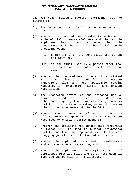and all other relevant factors, including, but not limited to:

- (1) the amount and purposes of use for which water is needed;
- (2) whether the proposed use of water is dedicated to a beneficial, non-wasteful use and whether the applicant has direct evidence that the groundwater will be put to a beneficial use by providing either:
	- (i) a statement of the beneficial use by the applicant or,
	- (ii) if the final user is a person other than the applicant, a contract with the final user;
- (3) whether the proposed use of water is consistent with the District's certified groundwater management plan and any applicable spacing requirements, production limits, and drought restrictions;
- (4) the projected effect of the proposed use on aquifer conditions, including depletion, subsidence, spring flow, impacts on groundwater quality, or effects on existing permit holders or other groundwater users within the District;
- (5) whether the proposed use of water unreasonably affects existing groundwater and surface water resources or existing permit holders;
- (6) whether the applicant has agreed that reasonable diligence will be used to protect groundwater quality and that the applicant will follow well plugging guidelines at the time of well closure;
- (7) whether the applicant has agreed to avoid waste and achieve water conservation; and
- (8) whether the applicant is in compliance with all applicable District rules and is current with all fees due and payable to the District.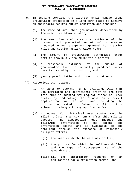- (e) In issuing permits, the district shall manage total groundwater production on a long-term basis to achieve an applicable desired future condition and consider:
	- (1) the modeled available groundwater determined by the executive administrator;
	- (2) the executive administrator's estimate of the current and projected amount of groundwater produced under exemptions granted by district rules and Section 36.117, Water Code;
	- (3) the amount of groundwater authorized under permits previously issued by the district;
	- (4) a reasonable estimate of the amount of groundwater that is actually produced under permits issued by the district; and
	- (5) yearly precipitation and production patterns.
- (f) Historical User status.
	- (1) An owner or operator of an existing, well that was completed and operational prior to the date this rule is adopted may request historical user status by indicating the request on a permit application for the well and including the information listed in Subsection (2) of this subsection along with any applicable fee.
	- (2) A request for historical user status must be filed no later than six months after this rule is adopted. The application must include the following information to the extent the information exists and is available to the applicant through the exercise of reasonably diligent efforts:
		- (i) the year in which the well was drilled;
		- (ii) the purpose for which the well was drilled and the types of subsequent use of the groundwater;
		- (iii) all the information required on an application for a production permit; and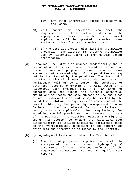- (iv) any other information deemed necessary by the Board.
- (3) Well owners or operators who meet the requirements of this section and submit the appropriate information with their permit application will be granted historical user status and classified as historical users.
- (4) If the District adopts rules limiting groundwater production, the District may preserve groundwater use by historical users to the maximum extent practicable.
- (g) Historical user status is granted conditionally and is dependent on the specific owner, amount of production, place of use and purpose of use. Historical user status is not a vested right of the permittee and may not be transferred by the permittee. The Board will transfer a historical user status designation to a replacement well or to a person who purchases or otherwise receives ownership of a well owned by a historical user provided that the new owner or operator does not exceed the historic withdrawal amount and maintains the same purpose of use and place of use. Historical user status may be revoked by the Board for violation of any terms or conditions of the permit, obtaining the permit by misrepresentation or failure to disclose relevant facts, or failure to comply with any applicable rules, regulations, fee schedule, special provisions, requirements or orders of the District. The District reserves the right to amend this section to expand the historical user classification to include additional permittees based on the hydrogeological conditions of the aquifer and other data and information collected by the District.
- (h) Hydrogeological Assessment and Aquifer Test Report.
	- (1) The following permit applications shall be accompanied by a current hydrogeological assessment of the projected effects of the requested groundwater use and an aquifer test report: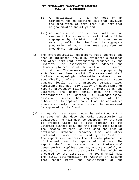- (i) An application for a new well or an amendment for an existing well that involves the production of more than 1000 acre-feet of groundwater annually; and
- (ii) An application for a new well or an amendment for an existing well that will be aggregated by the District with other new or existing wells that involves the aggregate production of more than 1000 acre-feet of groundwater annually.
- (2) The hydrogeological assessment must address the area of influence, drawdown, projected subsidence and other pertinent information required by the District. The assessment must address the ultimate planned use of the well and the impacts of that use. The assessment shall be prepared by a Professional Geoscientist. The assessment shall include hydrogeologic information addressing and specifically related to the proposed water pumpage levels at the proposed pumpage site. Applicants may not rely solely on assessments or reports previously filed with or prepared by the District. The Board shall make the final determination of whether a hydrogeological assessment meets the requirements of this subsection. An application will not be considered administratively complete unless the assessment is approved by the Board.
- (3) An aquifer test report must be submitted within 60 days of the date the well construction is completed. The well must be equipped for the test to produce water at a rate similar to its ultimate planned use, and the report must address the impacts of that use including the area of influence, drawdown, recovery time, and other pertinent information required by the District. The report must address the ultimate planned use of the well and the impacts of that use. The report shall be prepared by a Professional Geoscientist. Applications may not rely solely on studies or reports previously filed with or prepared by the District. The Board shall make the final determination of whether an aquifer test report meets the requirements of the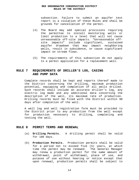subsection. Failure to submit an aquifer test report is a violation of these Rules and shall be grounds for cancellation of the permit.

- (4) The Board may add special provisions requiring the permittee to install monitoring wells or limit production to a level that will not cause unreasonable off-site impacts. "Unreasonable offsite impacts" include significant, sustained aquifer drawdown that may impact neighboring wells, result in subsidence, or cause significant impact on stream flows.
- (5) The requirements of this subsection do not apply to a permit application for a replacement well.

# **RULE 7 REQUIREMENTS OF DRILLER'S LOG, CASING AND PUMP DATA**

Complete records shall be kept and reports thereof made to the District concerning the drilling, maximum production potential, equipping and completion of all wells drilled. Such records shall include an accurate driller's log, any electric log made and any additional data concerning the description of the well, its maximum rate of production. Drilling records must be filed with the District within 90 days after completion of the well.

A well log and well registration form must be provided to the District prior to any production from the well except for production necessary to drilling, completing and testing the well.

# **RULE 8 PERMIT TERMS AND RENEWAL**

- (a) **Drilling Permits.** A drilling permit shall be valid for 180 days.
- (b) **Production Permits.** Production permits shall be valid for a period not to exceed five (5) years, at which time the permit may be renewed. The General Manager may renew a production permit for the same amount of withdrawal, point of withdrawal, place of use, and purpose of use without hearing or notice except that upon renewal, production permits shall be subject to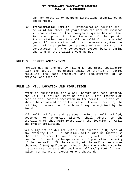any new criteria or pumping limitations established by these rules.

(c) **Transportation Permits.** Transportation permits shall be valid for three (3) years from the date of issuance if construction of the conveyance system has not been initiated prior to the issuance of the permit. Transportation permits shall be valid for thirty (30) years if construction of the conveyance system has been initiated prior to issuance of the permit or if construction of the conveyance system begins during the term of the initial 3 year permit.

# **RULE 9 PERMIT AMENDMENTS**

Permits may be amended by filing an amendment application with the board. Amendments shall be granted or denied following the same procedure and requirements of an original application.

# **RULE 10 WELL LOCATION AND COMPLETION**

After an application for a well permit has been granted, the well, if drilled, must be drilled within **thirty (30) feet** of the location specified in the permit. If the well should be commenced or drilled at a different location, the drilling or operation of such well may be enjoined by the Board.

All well drillers and persons having a well drilled, deepened, or otherwise altered shall adhere to the provisions of this Rule prescribing the location of wells and proper completion.

Wells may not be drilled within one hundred (100) feet of any property line. In addition, wells must be located so that the distance to any other existing well is at least one foot for each gallon-per-minute of production capacity of the new well. If the capacity of the well exceeds onethousand (1000) gallons-per-minute then the minimum spacing distance must be an additional one-half (1/2) foot for each gallon-per-minute in excess of one-thousand.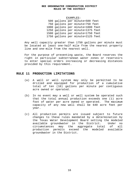#### EXAMPLES:

500 gallons per minute=500 feet 750 gallons per minute=750 feet 1000 gallons per minute=1000 feet 1250 gallons per minute=1375 feet 1500 gallons per minute=1750 feet 1750 gallons per minute=2125 feet

Any well capacity greater than 1750 gallons per minute must be located at least one-half mile from the nearest property line and one-mile from the nearest well.

For the purpose of preventing waste, the Board reserves the right in particular subterranean water zones or reservoirs to enter special orders increasing or decreasing distances provided by this requirement.

# **RULE 11 PRODUCTION LIMITATIONS**

- (a) A well or well system may only be permitted to be drilled and equipped for production of a cumulative total of ten (10) gallons per minute per contiguous acre owned or operated.
- (b) In no event may a well or well system be operated such that the total annual production exceeds one (1) acre foot of water per acre owned or operated. The maximum capacity of any new well shall be 640 acre feet per year.
- (c) All production permits are issued subject to future changes to these rules mandated by a determination by the Texas Water Development Board setting the modeled available groundwater in the District. Under no circumstances may the aggregate total of all production permits exceed the modeled available groundwater in the District.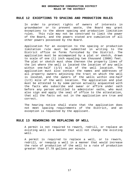# **RULE 12 EXCEPTIONS TO SPACING AND PRODUCTION RULES**

In order to protect rights of owners of interests in groundwater or to prevent waste, the Board may grant exceptions to the above spacing and production limitation rules. This rule may not be construed to limit the power of the Board, and the powers stated are cumulative of all other powers possessed by the Board.

Application for an exception to the spacing or production limitation rule must be submitted in writing to the District office on forms furnished by the District. The application must be accompanied by a plat or sketch, drawn to scale of one (1) inch equaling two thousand (2000) feet. The plat or sketch must show thereon the property lines of the lot where the well is located the location of any wells within one-half (1/2) mile of the well location. The application must also contain the names and addresses of all property owners adjoining the tract on which the well is located, and the owners of the wells within one-half (1/2) mile of the well location. The application and plat must be attested to by some person actually acquainted with the facts who subscribe and swear or affirm under oath before any person entitled to administer oaths, who must also sign and apply the seal of office to the attestation, that all the facts set out in the application are true and correct.

The hearing notice shall state that the application does not meet spacing requirements of the District, and an exception is requested by the applicant.

# **RULE 13 REWORKING OR REPLACING OF WELL**

A permit is not required to rework, redrill, or replace an existing well in a manner that will not change the existing well.

A permit is required to replace a well, or to rework, redrill, or reequip a well in a manner that would increase the rate of production of the well to a rate of production greater than 27.78 gallons per minute.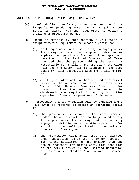# **RULE 14 EXEMPTIONS; EXCEPTION; LIMITATIONS**

- (a) A well drilled, completed, or equipped so that it is incapable of producing more than 27.78 gallons per minute is exempt from the requirement to obtain a drilling or production permit.
- (b) Except as provided by this section, a well owner is exempt from the requirement to obtain a permit for:
	- (1) drilling a water well used solely to supply water for a rig that is actively engaged in drilling or exploration operations for an oil or gas well permitted by the Railroad Commission of Texas provided that the person holding the permit is responsible for drilling and operating the water well and the water well is located on the same lease or field associated with the drilling rig; or
	- (2) drilling a water well authorized under a permit issued by the Railroad Commission of Texas under Chapter 134, Natural Resources Code, or for production from the well to the extent the withdrawals are required for mining activities regardless of any subsequent use of the water.
- (c) A previously granted exemption will be canceled and a well owner is required to obtain an operating permit if:
	- (1) the groundwater withdrawals that were exempted under Subsection (b)(1) are no longer used solely to supply water for a rig that is actively engaged in drilling or exploration operations for an oil or gas well permitted by the Railroad Commission of Texas; or
	- (2) the groundwater withdrawals that were exempted under Subsection (b)(2) are no longer necessary for mining activities or are greater than the amount necessary for mining activities specified in the permit issued by the Railroad Commission of Texas under Chapter 134, Natural Resources Code.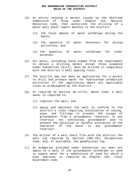- (d) An entity holding a permit issued by the Railroad Commission of Texas under Chapter 134, Natural Resources Code, that authorizes the drilling of a water well shall report monthly to the district:
	- (1) the total amount of water withdrawn during the month;
	- (2) the quantity of water necessary for mining activities; and
	- (3) the quantity of water withdrawn for other purposes.
- (e) All wells, including those exempt from the requirement to obtain a drilling permit except those exempted under Subsection (b)(2), must be drilled in compliance with the district's well spacing rules.
- (f) The district may not deny an application for a permit to drill and produce water for hydrocarbon production activities if the application meets all applicable rules as promulgated by the district.
- (g) As required by Section 36.117(h), Water Code, a well owner is required to:
	- (1) register the well; and
	- (2) equip and maintain the well to conform to the district's rules requiring installation of casing, pipe, and fittings to prevent the escape of groundwater from a groundwater reservoir to any reservoir not containing groundwater and to prevent the pollution or harmful alteration of the character of the water in any groundwater reservoir.
- (h) The driller of a well shall file with the district the well log required by Section 1901.251, Occupations Code, and, if available, the geophysical log.
- (i) An exemption provided under Subsection (a) does not apply to a well if the groundwater withdrawn is used to supply water for a subdivision of land for which a plat approval is required by Chapter 232, Local Government Code.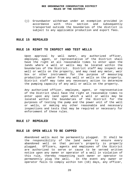(j) Groundwater withdrawn under an exemption provided in accordance with this section and subsequently transported outside the boundaries of the district is subject to any applicable production and export fees.

#### **RULE 15 REPEALED**

#### **RULE 16 RIGHT TO INSPECT AND TEST WELLS**

Upon approval by well owner, any authorized officer, employee, agent, or representative of the District shall have the right at all reasonable times to enter upon the lands where a well or wells may be located within the boundaries of the District. District staff may inspect any well or wells on the property, and may read any meter, weir box or other instrument for the purpose of measuring production of water from any well or wells on the property. District staff may take any necessary action to determine the pumping capacity of any well or wells on the property.

Any authorized officer, employee, agent, or representative of the District shall have the right at reasonable times to enter upon any land upon which a well or wells may be located within the boundaries of the District for the purposes of testing the pump and the power unit of the well or wells, or making any other reasonable and necessary inspections and tests that may be required or necessary for enforcement of these rules.

# **RULE 17 REPEALED**

#### **RULE 18 OPEN WELLS TO BE CAPPED**

Abandoned wells must be permanently plugged. It shall be the responsibility of the land owner to ensure every abandoned well on that person's property is properly plugged. Officers, agents and employees of the District are authorized to serve or cause to be served written notice upon any owner or operator of a well in violation of this rule, thereby requesting such owner or operator to permanently plug the well. In the event any owner or operator fails to comply within ten (10) days, any officer,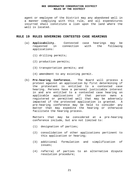agent or employee of the District may any abandoned well in a manner complying with this rule, and all expenditures incurred shall constitute a lien upon the land where the well is located.

# **RULE 19 RULES GOVERNING CONTESTED CASE HEARINGS**

- (a) **Applicability.** Contested case hearings may be requested in connection with the following applications:
	- (1) drilling permits;
	- (2) production permits;
	- (3) transportation permits; and
	- (4) amendment to any existing permit.
- (b) **Pre-hearing Conference.** The Board will process a protest against an application by first determining if the protestant is entitled to a contested case hearing. Persons have a personal justiciable interest in and are entitled to a contested case hearing on applicable applications if that person owns a registered or permitted well that may be adversely impacted if the protested application is granted. A pre-hearing conference may be held to consider any matter that may expedite the hearing or otherwise facilitate the hearing process.

Matters that may be considered at a pre-hearing conference include, but are not limited to:

- (1) designation of parties;
- (2) consolidation of other applications pertinent to this application or hearing;
- (3) additional formulation and simplification of issues;
- (4) referral of parties to an alternative dispute resolution procedure;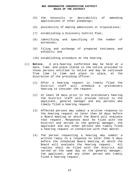- (5) the necessity or desirability of amending applications or other pleadings;
- (6) possibility of making admissions or stipulations;
- (7) establishing a Discovery Control Plan;
- (8) identifying and specifying of the number of witnesses;
- (9) filing and exchange of prepared testimony and exhibits; and
- (10) establishing procedure at the hearing.
- (c) **Notice.** A pre-hearing conference may be held at a date, time, and place stated in the notice provided to those persons entitled to notice and may be continued from time to time and place to place, at the discretion of the presiding officer.
	- (1) After a hearing request is timely filed the District staff will schedule a preliminary hearing to consider the request.
	- (2) At least 20 days prior to the preliminary hearing the District staff will provide notice to the applicant, general manager and any persons who timely filed a hearing request.
	- (3) Affected persons may submit a written response to the hearing request no later than 10 days before a Board meeting at which the Board will evaluate that request. Responses must be filed with the District and served on the general manager, the applicant and any other persons who timely filed a hearing request in connection with that matter.
	- (4) The person requesting a hearing may submit a written reply to a response no later than 5 days before the scheduled Board meeting at which the Board will evaluate the hearing request. All replies shall be filed with the District and served on the same day on the general manager, the applicant, and any other person who timely filed a hearing request.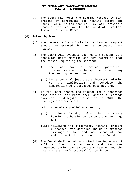(5) The Board may refer the hearing request to SOAH instead of scheduling the hearing before the Board. Following the hearing, SOAH will provide a proposal for decision to the Board of Directors for action by the Board.

# (d) **Action by Board.**

- (1) The determination of whether a hearing request should be granted is not a contested case hearing.
- (2) The Board will evaluate the hearing request at a scheduled Board meeting and may determine that the person requesting the hearing:
	- (i) does not have a personal justiciable interest related to the application and deny the hearing request; or
	- (ii) has a personal justiciable interest relating to the application and schedule the application to a contested case hearing.
- (3) If the Board grants the request for a contested case hearing, the Board shall assign a Hearings examiner or delegate the matter to SOAH. The Hearings examiner shall:
	- (i) schedule a preliminary hearing;
	- (ii) at least 21 days after the preliminary hearing, schedule an evidentiary hearing; and
	- (iii) following the evidentiary hearing, prepare a proposal for decision including proposed findings of fact and conclusions of law, and transmit that proposal to the Board.
- (4) The Board shall schedule a final hearing where it will consider the evidence and testimony presented during the evidentiary hearing and the hearings examiner's proposal for decision.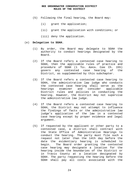- (5) Following the final hearing, the Board may:
	- (i) grant the application;
	- (ii) grant the application with conditions; or
	- (iii) deny the application.

#### (e) **Delegation to SOAH.**

- (1) By order, the Board may delegate to SOAH the authority to conduct hearings designated by the Board.
- (2) If the Board refers a contested case hearing to SOAH, then the applicable rules of practice and procedure of SOAH (1 TEX. ADMIN. CODE Ch. 155) govern any contested case hearing of the District, as supplemented by this subchapter.
- (3) If the Board refers a contested case hearing to SOAH, the administrative law judge who conducts the contested case hearing shall serve as the hearings examiner and consider applicable District rules and policies in conducting the hearing. However, the District may not supervise the administrative law judge.
- (4) If the Board refers a contested case hearing to SOAH, the District may not attempt to influence the findings of facts or the administrative law judge's application of the law in a contested case hearing except by proper evidence and legal argument.
- (5) If requested by the applicant or other party to a contested case, a district shall contract with the State Office of Administrative Hearings to conduct the hearing. The party must file such a request not later than the 14th day before the date the evidentiary hearing is scheduled to begin. The Board order granting the contested case hearing may designate a location for the hearing inside the boundaries of the District or in Travis County at a location designated by SOAH. The party requesting the hearing before the SOAH shall pay all costs associated with the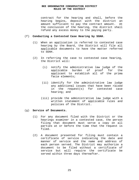contract for the hearing and shall, before the hearing begins, deposit with the district an amount sufficient to pay the contract amount. At the conclusion of the hearing, the district shall refund any excess money to the paying party.

# (f) **Conducting a Contested Case Hearing by SOAH.**

- (1) When an application is referred to contested case hearing by the Board, the District will file all applicable documents to have the matter referred to SOAH.
- (2) In referring the case to contested case hearing, the District will:
	- (i) notify the administrative law judge of the applicable burden of proof for the applicant to establish all of the prima facie elements;
	- (ii) identify for the administrative law judge any additional issues that have been raised in the request(s) for contested case hearing; and
	- (iii) provide the administrative law judge with a written statement of applicable rules and policies of the District.

#### (g) **Service of Documents.**

- (1) For any document filed with the District or the hearings examiner in a contested case, the person filing that document must serve a copy on all parties at or before the time that the request is filed.
- (2) A document presented for filing must contain a certificate of service indicating the date and manner of service and the name and address of each person served. The District may authorize a document to be filed without a certificate of service but will require the certificate be served within three days thereafter.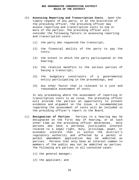- (h) **Assessing Reporting and Transcription Costs.** Upon the timely request of any party, or at the discretion of the presiding officer, the presiding officer may assess reporting and transcription costs to one or more of the parties. The presiding officer will consider the following factors in assessing reporting and transcription costs:
	- (1) the party who requested the transcript;
	- (2) the financial ability of the party to pay the costs;
	- (3) the extent to which the party participated in the hearing;
	- (4) the relative benefits to the various parties of having a transcript;
	- (5) the budgetary constraints of a governmental entity participating in the proceedings; and
	- (6) any other factor that is relevant to a just and reasonable assessment of costs.

 In any proceeding where the assessment of reporting or transcription costs is an issue, the presiding officer will provide the parties an opportunity to present evidence and argument on the issue. A recommendation regarding the assessment of costs will be included in the presiding officer's report to the Board.

- (i) **Designation of Parties.** Parties to a hearing may be designated on the first day of hearing, or at such other time as the presiding officer determines. Only persons who have a personal justiciable interest related to a legal right, duty, privilege, power, or economic interest that is within the district's regulatory authority and affected by a permit or permit amendment application may be admitted as parties. Persons that only have an interest common to members of the public may not be admitted as parties. The following are parties in all contested cases:
	- (1) the general manager;
	- (2) the applicant; and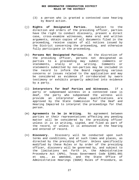- (3) a person who is granted a contested case hearing by Board action.
- (j) **Rights of Designated Parties.** Subject to the direction and orders of the presiding officer, parties have the right to conduct discovery, present a direct case, cross-examine witnesses, make oral and written arguments, obtain copies of all documents filed in the proceeding, receive copies of all notices issued by the District concerning the proceeding, and otherwise fully participate in the proceeding.
- (k) **Persons Not Designated Parties.** At the discretion of the presiding officer, persons not designated as parties to a proceeding may submit comments or statements, orally or in writing. Comments or statements submitted by non-parties may be included in the record to inform the Board regarding various concerns or issues related to the application and may be considered as evidence if corroborated by sworn testimony or exhibits properly admitted into evidence by a party.
- (l) **Interpreters for Deaf Parties and Witnesses.** If a party or subpoenaed witness in a contested case is deaf, the party who subpoenaed the witness will provide an interpreter whose qualifications are approved by the State Commission for the Deaf and Hearing Impaired to interpret the proceedings for that person.
- (m) **Agreements to be in Writing.** No agreement between parties or their representatives affecting any pending matter will be considered by the presiding officer unless it is in writing, signed, and filed as part of the record, or unless it is announced at the hearing and entered of record.
- (n) **Discovery.** Discovery will be conducted upon such terms and conditions, and at such times and places, as directed by the presiding officer. Unless specifically modified by these Rules or by order of the presiding officer, discovery will be governed by, and subject to the limitations set forth in, the Administrative Procedure Act (APA), Texas Government Code §2001.001 et seq., as amended, and the State Office of Administrative Hearings (SOAH) Rules of Procedure, as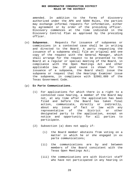amended. In addition to the forms of discovery authorized under the APA and SOAH Rules, the parties may exchange informal requests for information, either by agreement or by order of the presiding officer. Discovery commences at the time indicated in the Discovery Control Plan as approved by the presiding officer.

(o) **Subpoenas.** Requests for issuance of subpoenas or commissions in a contested case shall be in writing and directed to the Board. A party requesting the issuance of a subpoena shall file an original and one copy of the request with the General Manager, which shall arrange for the request to be presented to the Board at a regular or special meeting of the Board, in compliance with the Open Meetings Act and other applicable law. If good cause is shown for the issuance of a subpoena, the Board shall issue the subpoena or request that the Hearings Examiner issue the subpoena, in compliance with §2001.089 of the Texas Government Code.

# (p) **Ex Parte Communications.**

- (1) For applications for which there is a right to a contested case hearing, a member of the Board may not, at any time after the application has been filed and before the Board has taken final action, communicate, directly or indirectly, about any issue of fact or law with any representative of the District or other designated party to the application, except on notice and opportunity for all parties to participate.
- (2) Subsection (a) does not apply if:
	- (i) the Board member abstains from voting on a matter in which he or she engaged in ex parte communications;
	- (ii) the communications are by and between members of the Board consistent with the Texas Open Meetings Act;
	- (iii) the communications are with District staff who have not participated in any hearing in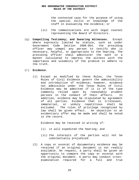the contested case for the purpose of using the special skills or knowledge of the staff in evaluating the evidence; or

- (iv) the communications are with legal counsel representing the Board of Directors.
- (q) **Compelling Testimony; and Swearing Witnesses.** Except where expressly limited by statute, such as under Government Code Section 2009.054, the presiding officer may compel any person to testify who is necessary, helpful, or appropriate to the hearing. The presiding officer shall administer the oath in a manner calculated to impress the witness with the importance and solemnity of the promise to adhere to the truth.

# (r) **Evidence.**

(1) Except as modified by these Rules, the Texas Rules of Civil Evidence govern the admissibility and introduction of evidence; however, evidence not admissible under the Texas Rules of Civil Evidence may be admitted if it is of the type commonly relied upon by reasonably prudent persons in the conduct of their affairs. In addition, evidence may be stipulated by agreement of all parties. Evidence that is irrelevant, immaterial, or unduly repetitious shall be excluded. The rules of privilege recognized by law shall be given effect. An objection to an evidentiary offer may be made and shall be noted in the record.

Evidence may be received in writing if:

- (i) it will expedited the hearing; and
- (ii) the interests of the parties will not be substantially prejudiced.
- (2) A copy or excerpt of documentary evidence may be received if an original document is not readily available. On request, a party shall be given an opportunity to compare the copy or excerpt with the original document. A party may conduct crossexamination required for a full and true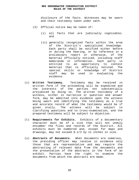disclosure of the facts. Witnesses may be sworn and their testimony taken under oath.

- (3) Official notice may be taken of:
	- (i) all facts that are judicially cognizable; and
	- (ii) generally recognized facts within the area of the District's specialized knowledge. Each party shall be notified either before or during the hearing, or by reference in a preliminary report or otherwise, of the material officially noticed, including staff memoranda or information. Each party is entitled to an opportunity to contest material that is officially noticed. The special skills or knowledge of District staff may be used in evaluating the evidence.
- (s) **Written Testimony.** Testimony may be received in written form if the proceeding will be expedited and the interests of the parties not substantially prejudiced by doing so. The written testimony of a witness, either in narrative or question and answer form, may be admitted into evidence upon the witness being sworn and identifying the testimony as a true and accurate record of what the testimony would be if given orally. The witness will be subject to clarifying questions and to cross-examination, and the prepared testimony will be subject to objection.
- (t) **Requirements for Exhibits.** Exhibits of a documentary character must be of a size that will not unduly encumber the files and records of the District. All exhibits must be numbered and, except for maps and drawings, may not exceed 8-1/2 by 11 inches in size.
- (u) **Abstracts of Documents.** When documents are numerous, the presiding officer may receive in evidence only those that are representative and may require the abstracting of relevant data from the documents and the presentation of the abstracts in the form of an exhibit. Parties have the right to examine the documents from which the abstracts are made.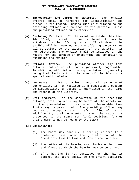- (v) **Introduction and Copies of Exhibits.** Each exhibit offered shall be tendered for identification and placed in the record. Copies must be furnished to the presiding officer and to each of the parties, unless the presiding officer rules otherwise.
- (w) **Excluding Exhibits.** In the event an exhibit has been identified, objected to, and excluded, it may be withdrawn by the offering party. If withdrawn, the exhibit will be returned and the offering party waives all objections to the exclusion of the exhibit. If not withdrawn, the exhibit shall be included in the record for the purpose of preserving the objection to excluding the exhibit.
- (x) **Official Notice.** The presiding officer may take official notice of all facts judicially cognizable. In addition, official notice may be taken of generally recognized facts within the area of the District's specialized knowledge.
- (y) **Documents in District Files.** Extrinsic evidence of authenticity is not required as a condition precedent to admissibility of documents maintained in the files and records of the District.
- (z) **Oral Argument.** At the discretion of the presiding officer, oral arguments may be heard at the conclusion of the presentation of evidence. Reasonable time limits may be prescribed. The presiding officer may require or accept written briefs in lieu of, or in addition to, oral arguments. When the matter is presented to the Board for final decision, further oral arguments may be heard by the Board.
- (aa) **Continuances.** 
	- (1) The Board may continue a hearing related to a contested case under the jurisdiction of the Board from time to time and from place to place.
	- (2) The notice of the hearing must indicate the times and places at which the hearing may be continued.
	- (3) If a hearing is not concluded on the day it begins, the Board shall, to the extent possible,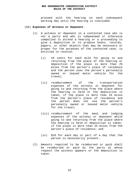proceed with the hearing on each subsequent working day until the hearing is concluded.

#### (bb) **Expenses of Witness or Deponent.**

- (1) A witness or deponent in a contested case who is not a party and who is subpoenaed or otherwise compelled to attend a hearing or a proceeding to give a deposition or to produce books, records, papers, or other objects that may be necessary or proper for the purposes of the contested case, is entitled to receive:
	- (i) 10 cents for each mile for going to and returning from the place of the hearing or deposition if the place is more than 25 miles from the person's place of residence and the person uses the person's personally owned or leased motor vehicle for the travel;
	- (ii) reimbursement of the transportation expenses of the witness or deponent for going to and returning from the place where the hearing is held or the deposition is taken, if the place is more than 25 miles from the person's place of residence and the person does not use the person's personally owned or leased motor vehicle for the travel;
	- (iii) reimbursement of the meal and lodging expenses of the witness or deponent while going to and returning from the place where the hearing is held or deposition is taken, if the place is more than 25 miles from the person's place of residence; and
	- (iv) \$10 for each day or part of a day that the person is necessarily present.
- (2) Amounts required to be reimbursed or paid shall be reimbursed or paid by the party at whose request the witness appears or the deposition is taken.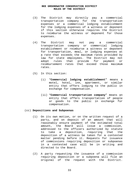- (3) The District may directly pay a commercial transportation company for the transportation expenses or a commercial lodging establishment for the lodging expenses of a witness or deponent if this section otherwise requires the District to reimburse the witness or deponent for those expenses.
- (4) The District may not pay a commercial transportation company or commercial lodging establishment or reimburse a witness or deponent for transportation, meal, or lodging expenses at a rate that exceeds the maximum rates provided by law for state employees. The District may not adopt rules that provide for payment or reimbursement rates that exceed those maximum rates.
- (5) In this section:
	- (i) "**Commercial lodging establishment**" means a motel, hotel, inn, apartment, or similar entity that offers lodging to the public in exchange for compensation.
	- (ii) "**Commercial transportation company**" means an entity that offers transportation of people or goods to the public in exchange for compensation.

#### (cc) **Depositions and Subpoenas**

- (1) On its own motion, or on the written request of a party, and on deposit of an amount that will reasonably ensure payment of the estimated total amount, the Board will issue a commission, addressed to the officers authorized by statute<br>to take a deposition, requiring that the to take a deposition, requiring that the deposition of a witness be taken for a contested matter pending before it. Requests for issuance of commissions requiring deposition or subpoenas in a contested case will be in writing and directed to the Board.
- (2) A party requesting the issuance of a commission requiring deposition or a subpoena will file an original of the request with the District.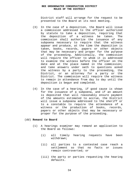District staff will arrange for the request to be presented to the Board at its next meeting.

- (3) In the case of a deposition, the Board will issue a commission addressed to the officer authorized by statute to take a deposition, requiring that the deposition of a witness be taken. The commission shall authorize the issuance of any subpoena necessary to require that the witness appear and produce, at the time the deposition is taken, books, records, papers or other objects that may be necessary and proper for the purpose of the proceeding. Additionally, the commission will require the officer to whom it is addressed to examine the witness before the officer on the date and at the place named in the commission; and take answers under oath to questions asked the witness by a party to the proceeding, the District, or an attorney for a party or the District. The commission will require the witness to remain in attendance from day to day until the deposition is begun and completed.
- (4) In the case of a hearing, if good cause is shown for the issuance of a subpoena, and if an amount is deposited that will reasonably ensure payment of the amounts estimated to accrue, the District will issue a subpoena addressed to the sheriff or to a constable to require the attendance of a witness or the production of books, records, papers or other objects that may be necessary or proper for the purpose of the proceeding.

#### (dd) **Remand to Board**

- (1) A hearings examiner may remand an application to the Board as follows:
	- (i) all timely hearing requests have been withdrawn;
	- (ii) all parties to a contested case reach a settlement so that no facts or issues remain controverted; or
	- (iii) the party or parties requesting the hearing defaults.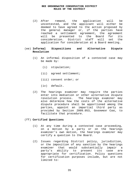(2) After remand, the application will be uncontested, and the applicant will either be deemed to have agreed to the action proposed by the general manager or, if the parties have reached a settlement agreement, the agreement will be presented to the Board for its consideration. District staff will set the application for consideration at a Board meeting.

# (ee) **Informal Dispositions and Alternative Dispute Resolution**

- (1) An informal disposition of a contested case may be made by:
	- (i) stipulation;
	- (ii) agreed settlement;
	- (iii) consent order; or
	- (iv) default.
- (2) The hearings examiner may require the parties enter into mediation or other alternative dispute resolution process. The hearings examiner may also determine how the costs of the alternative dispute procedure shall be apportioned among the parties, appoint an impartial third party as provided by Section 2009.053, GOVERNMENT CODE, to facilitate that procedure.

#### (ff) **Certified Questions**

- (1) At any time during a contested case proceeding, on a motion by a party or on the hearings examiner's own motion, the hearings examiner may certify a question to the Board.
- (2) Issues regarding District policy, jurisdiction, or the imposition of any sanction by the hearings examiner that would substantially impair a party's ability to present its case are appropriate for certification. Policy questions for certification purposes include, but are not limited to: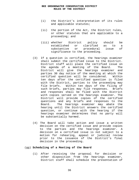- (i) the District's interpretation of its rules and applicable statutes;
- (ii) the portion of the Act, the District rules, or other statutes that are applicable to a proceeding; and
- (iii) whether District policy should be established or clarified as to a substantive or procedural issue of significance to the proceeding.
- (3) If a question is certified, the hearings examiner shall submit the certified issue to the District. District staff will place the certified issue on the agenda of a meeting of the Board. The District will give the hearings examiner and parties 30 day notice of the meeting at which the certified question will be considered. Within ten days after the certified question is filed with the District, parties to the proceeding may file briefs. Within ten days of the filing of such briefs, parties may file responses. Briefs and responses shall be filed with the District with copies served on the hearings examiner. The District will provide copies of the certified questions and any briefs and responses to the Board. The hearings examiner may abate the hearing until the District answers the certified question, or continue with the hearing if the hearings examiner determines that no party will be substantially harmed.
- (4) The Board will take action and issue a written decision on the certified issue and provide copies to the parties and the hearings examiner. A decision on a certified issue is not subject to a motion for rehearing, appeal or judicial review prior to the issuance of the District's final decision in the proceeding.

#### (gg) **Scheduling of a Meeting of the Board**

(1) After receiving the proposal for decision or other disposition from the hearings examiner, District staff shall schedule the presentation of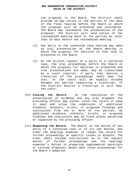the proposal to the Board. The District shall provide 10 day notice to the parties of the date of the final hearing before the Board at which the proposal will be presented and considered. The Board may reschedule the presentation of the proposal. The District will send notice of the rescheduled meeting date to the parties no later than 10 days before the rescheduled meeting.

- (2) Any party to the contested case hearing may make an oral presentation at the Board meeting in which the proposal for decision in that case is presented to the Board.
- (3) On the written request of a party to a contested case, the oral proceedings before the Board at which the proposal for decision is presented and oral presentations are made, may be transcribed by a court reporter. A party that desires a transcript of the proceedings shall bear the cost, or the costs will be equally divided between all parties requesting a transcript. If the District desires a transcript it will bear the costs.
- (hh) **Closing the Record.** At the conclusion of the presentation of evidence and any oral argument the presiding officer may either close the record or keep it open and allow the submission of additional evidence, exhibits, briefs, or proposed findings and conclusions from one or more of the parties. No additional evidence, exhibits, briefs, or proposed findings and conclusions may be filed unless permitted or requested by the presiding officer.
- (ii) **Reopening the Record.** The Board, on the motion of any party to a contested case or on its own motion, may order the hearings examiner to reopen the record for further proceedings on specific issues in dispute. The order shall include instructions as to the subject matter of further proceedings and the hearings examiner's duties in preparing supplemental materials or revised proposals based upon those proceedings for the Board's adoption.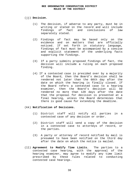#### (jj) **Decision.**

- (1) The decision, if adverse to any party, must be in writing or stated in the record and will include findings of fact and conclusions of law separately stated.
- (2) Findings of fact may be based only on the evidence and on matters that are officially noticed. If set forth in statutory language, findings of fact must be accompanied by a concise and explicit statement of the underlying facts supporting the findings.
- (3) If a party submits proposed findings of fact, the decision will include a ruling on each proposed finding.
- (4) If a contested case is presided over by a majority of the Board, then the Board's decision shall be rendered not later than the 60th day after the date on which the hearing is finally closed. If the Board refers a contested case to a hearing examiner, then the Board's decision will be rendered no more than 120 days after the date that the proposal for decision is presented at a final hearing, unless the Board determines that there is good cause for extending the deadline.

# (kk) **Notification of Decisions.**

- (1) District staff will notify all parties in a contested case of any decision or order.
- (2) District staff will send a copy of the decision in a contested case to attorneys of record, or the parties.
- (3) A party or attorney of record notified by mail is presumed to have been notified on the third day after the date on which the notice is mailed.
- (ll) **Agreement to Modify Time Limits.** The parties to a contested case hearing, with the approval of the hearing examiner, may agree to modify any time limit prescribed by these rules related to conducting contested case hearings.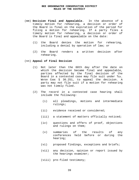- (mm) **Decision Final and Appealable.** In the absence of a timely motion for rehearing, a decision or order of the Board is final on the expiration of the period for filing a motion for rehearing. If a party files a timely motion for rehearing, a decision or order of the Board is final and appealable on the date:
	- (1) the Board denies the motion for rehearing, including a denial by operation of law; or
	- (2) the Board renders a written decision after rehearing.

#### (nn) **Appeal of Final Decision**

- (1) Not later than the 60th day after the date on which the decision became final and appealable, parties affected by the final decision of the Board in a contested case may file suit under TEX. WATER CODE § 36.251, to appeal the decision. A party may not file suit if a motion for rehearing was not timely filed.
- (2) The record in a contested case hearing shall include the following:
	- (i) all pleadings, motions and intermediate rulings;
	- (ii) evidence received or considered;
	- (iii) a statement of matters officially noticed;
	- (iv) questions and offers of proof, objections and rulings on them;
	- (v) summaries of the results of any conferences held before or during the hearing;
	- (vi) proposed findings, exceptions and briefs;
	- (vii) any decision, opinion or report issued by the hearings examiner;
	- (viii) pre-filed testimony;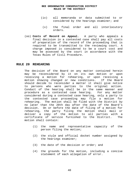- (ix) all memoranda or data submitted to or considered by the hearings examiner; and
- (x) the final order and all interlocutory orders.
- (oo) **Costs of Record on Appeal.** A party who appeals a final decision in a contested case shall pay all costs of preparation of the record of the proceeding that is required to be transmitted to the reviewing court. A charge imposed is considered to be a court cost and may be assessed by the court in accordance with the Texas Rules of Civil Procedure.

# **RULE 20 REHEARING**

The decision of the Board on any matter contained herein may be reconsidered by it on its own motion or upon receiving a motion for rehearing, or upon receiving a motion showing changed or new conditions. If the Board should decide to reconsider a matter it shall give notice to persons who were parties to the original action. Conduct of the hearing shall be in the same manner and procedure as a contested case hearing. For any matter considered during a contested case hearing, only a party to the contested case proceeding may file a motion for rehearing. The motion shall be filed with the District by no later than the 20th day after the date of the Board's decision. On or before the date of filing of a motion for rehearing, the party filing the motion shall mail or deliver a copy of the motion to all parties with a certificate of service furnished to the District. The motion shall contain:

- (1) the name and representative capacity of the person filing the motion;
- (2) the style and official docket number assigned by the hearings examiner;
- (3) the date of the decision or order; and
- (4) the grounds for the motion, including a concise statement of each allegation of error.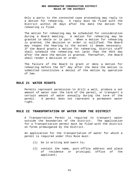Only a party to the contested case proceeding may reply to a motion for rehearing. A reply must be filed with the District within 20 days after the date the motion for rehearing is filed.

The motion for rehearing may be scheduled for consideration during a Board meeting. A motion for rehearing may be granted in whole or in part. When a motion for rehearing is granted, the decision or order is nullified. The Board may reopen the hearing to the extent it deems necessary. If the Board grants a motion for rehearing, District staff shall schedule the rehearing not later than the 45th day after the date the motion is granted. Thereafter, the Board shall render a decision or order.

The failure of the Board to grant or deny a motion for rehearing before the  $91^{st}$  day after the date the motion is submitted constitutes a denial of the motion by operation of law.

# **RULE 21 WATER RIGHTS**

Permits represent permission to drill a well, produce a set amount of water over the term of the permit, or transport a certain amount of water annually during the term of the permit. A permit does not represent a permanent water right.

# **RULE 22 TRANSPORTATION OF WATER FROM THE DISTRICT**

A Transportation Permit is required to transport water outside the boundaries of the District. The application for a Transportation permit must be filed with the District on forms promulgated by the District.

An application for the transportation of water for which a permit is required under this Rule must:

- (1) be in writing and sworn to;
- (2) contain the name, post-office address and place of residence or principal office of the applicant;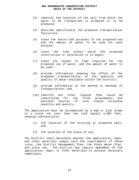- (3) identify the location of the well from which the water to be transported is produced or to be produced;
- (4) describe specifically the proposed transportation facilities;
- (5) state the nature and purposes of the proposed use and the amount of water to be used for each purpose;
- (6) state the time within which the proposed construction or alteration is to begin;
- (7) state the length of time required for the proposed use of water, and the amount of water to be used;
- (8) provide information showing the effect of the proposed transportation on the quantity and quality of water available within the District;
- (9) provide information on the method or methods of transportation; and
- (10) identify any other liquids that could be substituted for the fresh groundwater and possible sources of such liquid including quantity and quality.

The application must be accompanied by a map or plat drawn to a scale not less than one inch equals 4,000 feet, showing substantially:

- (1) the location of the existing or proposed well; and
- (2) the location of the place of use.

The District shall determine whether the application, maps, and other materials comply with the requirements of these rules, the District Management Plan, the State Water Plan, and state law. The District may require amendment of the application, maps, or other materials to achieve necessary compliance.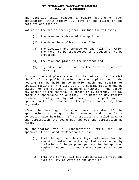The District shall conduct a public hearing on each application within ninety (90) days of the filing of the complete application.

Notice of the public hearing shall include the following:

- (1) the name and address of the applicant;
- (2) the date the application was filed;
- (3) the location and purpose of the well from which the water to be transported is produced or to be produced;
- (4) the time and place of the hearing; and
- (5) any additional information the District considers necessary.

At the time and place stated in the notice, the District shall hold a public hearing on the application. The hearing may be held in conjunction with any regular or special meeting of the District or a special meeting may be called for the purpose of holding a hearing. Any person may appear at the hearing, in person or by attorney, or may enter his appearance in writing. The District may receive evidence, orally or by affidavit, in support or in opposition to the issuance of the permit, and it may hear arguments.

After the hearing, the Board may determine if the application is going to be contested and schedule a contested case hearing. If no protests are filed against the application the board may approve the application as filed.

An application for a Transportation Permit shall be approved if the Board of Directors finds:

- (1) that the applicant has a legitimate need for the amount of water to be transported as evidenced by inclusion of the proposed project in the approved regional water plan and the current State Water Plan;
- (2) that the permit will not substantially affect the availability of water in the district;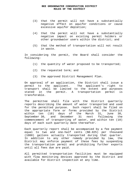- (3) that the permit will not have a substantially negative effect on aquifer conditions or cause excessive aquifer depletion;
- (4) that the permit will not have a substantially negative impact on existing permit holders or other groundwater users within the district; and
- (5) that the method of transportation will not result in waste.

In considering the permit, the Board shall consider the following:

- (1) the quantity of water proposed to be transported;
- (2) the requested term; and
- (3) the approved District Management Plan.

On approval of an application, the District shall issue a permit to the applicant. The applicant's right to transport shall be limited to the extent and purposes stated in the permit. A transportation permit is transferable.

The permittee shall file with the District quarterly reports describing the amount of water transported and used for the permitted purpose. Such report shall be filed on the appropriate form or forms provided by the District within ten (10) days of the March 31, June 30, September 30, and December 31 next following the commencement of transporting of water, and within ten (10) days of each such quarterly date thereafter.

Each quarterly report shall be accompanied by a fee payment equal to two and one-half cents (\$0.025) per thousand (1000) gallons actually transported during that quarter. In addition to any other remedy provided by law, the District may enforce payment of these fees by suspending the transportation permit and prohibiting further exports until all fees due are paid.

All permitted transportation facilities must be equipped with flow monitoring devices approved by the District and available for District inspection at any time.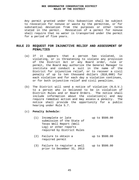Any permit granted under this Subsection shall be subject to revocation for nonuse or waste by the permittee, or for substantial deviation from the purposes or other terms stated in the permit. Revocation of a permit for nonuse shall require that no water is transported under the permit for a period of five years.

# **RULE 23 REQUEST FOR INJUNCTIVE RELIEF AND ASSESSMENT OF PENALTIES**

- (a) If it appears that a person has violated, is violating, or is threatening to violate any provision of the District Act or any Board order, rule or permit, the Board may authorize the General Manager to institute and conduct a suit in the name of the District for injunctive relief, or to recover a civil penalty of up to ten thousand dollars (\$10,000) for each violation and for each day a violation continues, or for both injunctive relief and civil penalties.
- (b) The District will send a notice of violation (N.O.V.) to a person who is believed to be in violation of District Rules and or Board Orders. The notice shall include information about the violation(s) and may require remedial action and may assess a penalty. The notice shall provide the opportunity for a public hearing under Rule 5.7.

#### (c) **Penalty Schedule:**

| (1) Incomplete or late     |  | up to \$500.00 |  |
|----------------------------|--|----------------|--|
| submission of the State of |  |                |  |
| Texas Well Report (Well    |  |                |  |
| Log) or other reports      |  |                |  |
| required by District Rules |  |                |  |
|                            |  |                |  |

- (2) Failure to obtain a required permit up to \$500.00
- (3) Failure to register a well up to \$500.00 prior to December 31, 2013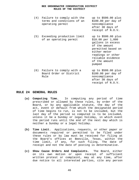| (4) | Failure to comply with the<br>terms and conditions of an<br>operating permit | up to \$500.00 plus<br>\$100.00 per day of<br>noncompliance<br>after 30 days of<br>receipt of N.O.V.                                                                                      |
|-----|------------------------------------------------------------------------------|-------------------------------------------------------------------------------------------------------------------------------------------------------------------------------------------|
| (5) | Exceeding production limit<br>of an operating permit                         | up to \$500.00 plus<br>\$10.00~per~1,000<br>gallons in excess<br>of the amount<br>permitted based on<br>either meter<br>readings or other<br>reliable evidence<br>of the amount<br>pumped |
| (6) | Failure to comply with a<br>Board Order or District<br>Rule                  | up to \$500.00 plus<br>\$100.00 per day of<br>noncompliance<br>after 30 days of<br>receipt of N.O.V.                                                                                      |

# **RULE 24 GENERAL RULES**

- **(a) Computing Time.** In computing any period of time prescribed or allowed by these rules, by order of the Board, or by any applicable statute, the day of the act, event or default from which the designated period of time begins to run, is not to be included, but the last day of the period so computed is to be included, unless it be a Sunday or legal holiday, in which event the period runs until the end of the next day which is neither a Sunday or a legal holiday.
- **(b) Time Limit.** Applications, requests, or other paper or documents required or permitted to be filed under these rules or by law must be received for filing at the Board's offices at Beeville, Texas, within the time limit, if any, for such filing. The date of receipt and not the date of posting is determinative.
- **(c) Show Cause Orders And Complaints.** The Board, either on its own motion or upon receipt of sufficient written protest or complaint, may at any time, after due notice to all interested parties, cite any person